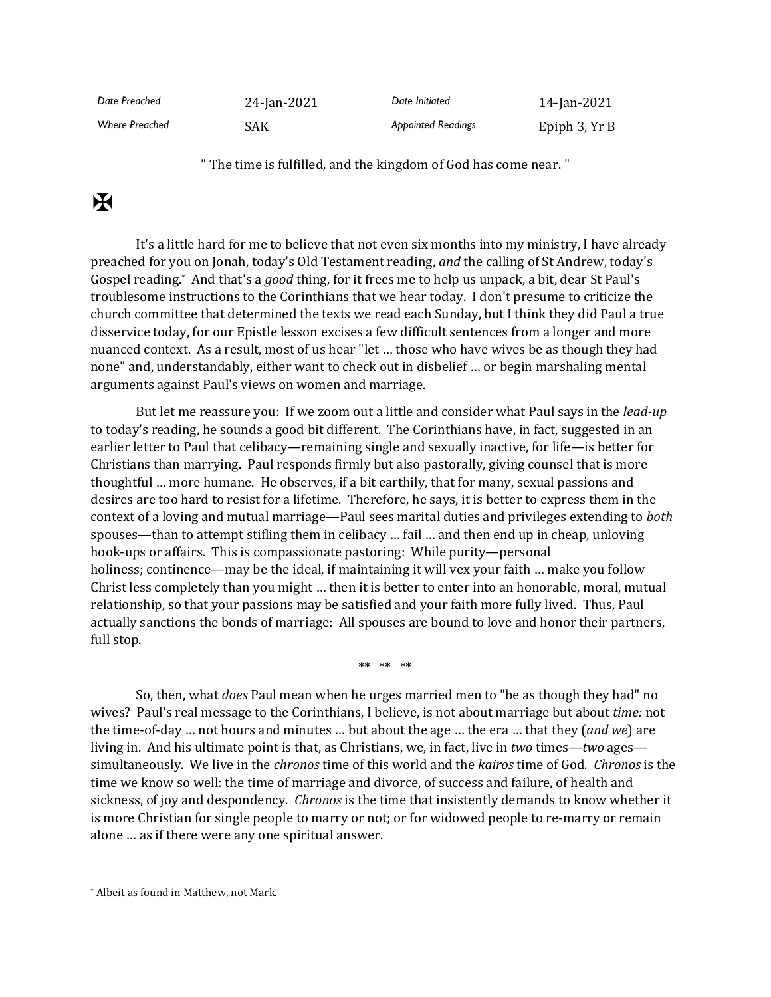| Date Preached         | 24-Jan-2021 | Date Initiated            | 14-Jan-2021   |
|-----------------------|-------------|---------------------------|---------------|
| <b>Where Preached</b> | SAK         | <b>Appointed Readings</b> | Epiph 3, Yr B |

" The time is fulfilled, and the kingdom of God has come near. "

## $\mathbf K$

It's a little hard for me to believe that not even six months into my ministry, I have already preached for you on Jonah, today's Old Testament reading, *and* the calling of St Andrew, today's Gospel reading.\* And that's a *good* thing, for it frees me to help us unpack, a bit, dear St Paul's troublesome instructions to the Corinthians that we hear today. I don't presume to criticize the church committee that determined the texts we read each Sunday, but I think they did Paul a true disservice today, for our Epistle lesson excises a few difficult sentences from a longer and more nuanced context. As a result, most of us hear "let … those who have wives be as though they had none" and, understandably, either want to check out in disbelief … or begin marshaling mental arguments against Paul's views on women and marriage.

But let me reassure you: If we zoom out a little and consider what Paul says in the *lead-up* to today's reading, he sounds a good bit different. The Corinthians have, in fact, suggested in an earlier letter to Paul that celibacy—remaining single and sexually inactive, for life—is better for Christians than marrying. Paul responds firmly but also pastorally, giving counsel that is more thoughtful … more humane. He observes, if a bit earthily, that for many, sexual passions and desires are too hard to resist for a lifetime. Therefore, he says, it is better to express them in the context of a loving and mutual marriage—Paul sees marital duties and privileges extending to *both* spouses—than to attempt stifling them in celibacy … fail … and then end up in cheap, unloving hook-ups or affairs. This is compassionate pastoring: While purity—personal holiness; continence—may be the ideal, if maintaining it will vex your faith ... make you follow Christ less completely than you might … then it is better to enter into an honorable, moral, mutual relationship, so that your passions may be satisfied and your faith more fully lived. Thus, Paul actually sanctions the bonds of marriage: All spouses are bound to love and honor their partners, full stop.

\*\* \*\* \*\*

So, then, what *does* Paul mean when he urges married men to "be as though they had" no wives? Paul's real message to the Corinthians, I believe, is not about marriage but about *time:* not the time-of-day … not hours and minutes … but about the age … the era … that they (*and we*) are living in. And his ultimate point is that, as Christians, we, in fact, live in *two* times—*two* ages simultaneously. We live in the *chronos* time of this world and the *kairos* time of God. *Chronos* is the time we know so well: the time of marriage and divorce, of success and failure, of health and sickness, of joy and despondency. *Chronos* is the time that insistently demands to know whether it is more Christian for single people to marry or not; or for widowed people to re-marry or remain alone … as if there were any one spiritual answer.

<sup>\*</sup> Albeit as found in Matthew, not Mark.